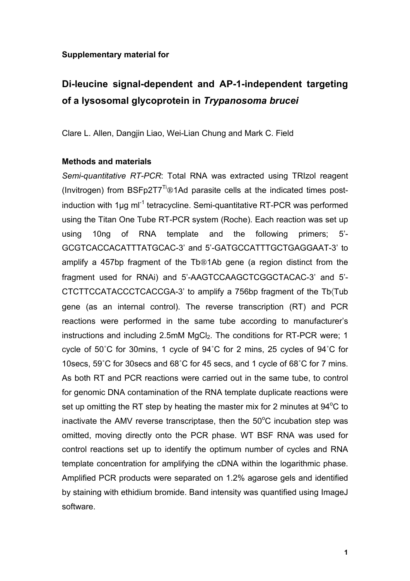## **Supplementary material for**

## **Di-leucine signal-dependent and AP-1-independent targeting of a lysosomal glycoprotein in** *Trypanosoma brucei*

Clare L. Allen, Dangjin Liao, Wei-Lian Chung and Mark C. Field

## **Methods and materials**

*Semi-quantitative RT-PCR*: Total RNA was extracted using TRIzol reagent (Invitrogen) from  $BSFp2T7^{Ti}$ ®1Ad parasite cells at the indicated times postinduction with 1µg ml<sup>-1</sup> tetracycline. Semi-quantitative RT-PCR was performed using the Titan One Tube RT-PCR system (Roche). Each reaction was set up using 10ng of RNA template and the following primers; 5'- GCGTCACCACATTTATGCAC-3' and 5'-GATGCCATTTGCTGAGGAAT-3' to amplify a 457bp fragment of the Tb®1Ab gene (a region distinct from the fragment used for RNAi) and 5'-AAGTCCAAGCTCGGCTACAC-3' and 5'- CTCTTCCATACCCTCACCGA-3' to amplify a 756bp fragment of the Tb (Tub gene (as an internal control). The reverse transcription (RT) and PCR reactions were performed in the same tube according to manufacturer's instructions and including 2.5mM MgCl<sub>2</sub>. The conditions for RT-PCR were; 1 cycle of 50˚C for 30mins, 1 cycle of 94˚C for 2 mins, 25 cycles of 94˚C for 10secs, 59˚C for 30secs and 68˚C for 45 secs, and 1 cycle of 68˚C for 7 mins. As both RT and PCR reactions were carried out in the same tube, to control for genomic DNA contamination of the RNA template duplicate reactions were set up omitting the RT step by heating the master mix for 2 minutes at  $94^{\circ}$ C to inactivate the AMV reverse transcriptase, then the  $50^{\circ}$ C incubation step was omitted, moving directly onto the PCR phase. WT BSF RNA was used for control reactions set up to identify the optimum number of cycles and RNA template concentration for amplifying the cDNA within the logarithmic phase. Amplified PCR products were separated on 1.2% agarose gels and identified by staining with ethidium bromide. Band intensity was quantified using ImageJ software.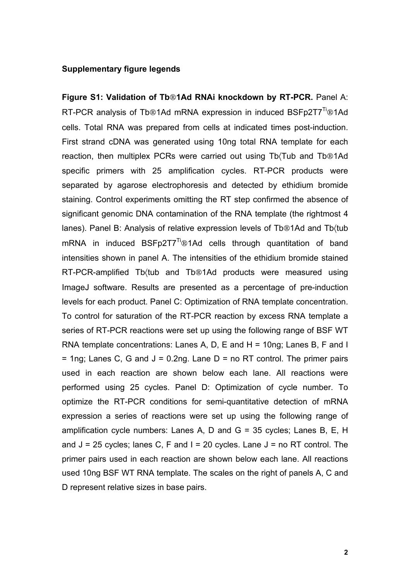## **Supplementary figure legends**

**Figure S1: Validation of Tb**!**1Ad RNAi knockdown by RT-PCR.** Panel A: RT-PCR analysis of Tb®1Ad mRNA expression in induced BSFp2T7<sup>Ti</sup>®1Ad cells. Total RNA was prepared from cells at indicated times post-induction. First strand cDNA was generated using 10ng total RNA template for each reaction, then multiplex PCRs were carried out using Tb(Tub and Tb®1Ad specific primers with 25 amplification cycles. RT-PCR products were separated by agarose electrophoresis and detected by ethidium bromide staining. Control experiments omitting the RT step confirmed the absence of significant genomic DNA contamination of the RNA template (the rightmost 4 lanes). Panel B: Analysis of relative expression levels of Tb®1Ad and Tb(tub mRNA in induced BSFp2T7<sup>Ti</sup>®1Ad cells through quantitation of band intensities shown in panel A. The intensities of the ethidium bromide stained RT-PCR-amplified Tb(tub and Tb®1Ad products were measured using ImageJ software. Results are presented as a percentage of pre-induction levels for each product. Panel C: Optimization of RNA template concentration. To control for saturation of the RT-PCR reaction by excess RNA template a series of RT-PCR reactions were set up using the following range of BSF WT RNA template concentrations: Lanes A, D, E and H = 10ng; Lanes B, F and I  $=$  1ng; Lanes C, G and J = 0.2ng. Lane D = no RT control. The primer pairs used in each reaction are shown below each lane. All reactions were performed using 25 cycles. Panel D: Optimization of cycle number. To optimize the RT-PCR conditions for semi-quantitative detection of mRNA expression a series of reactions were set up using the following range of amplification cycle numbers: Lanes A, D and G = 35 cycles; Lanes B, E, H and  $J = 25$  cycles; lanes C, F and I = 20 cycles. Lane  $J =$  no RT control. The primer pairs used in each reaction are shown below each lane. All reactions used 10ng BSF WT RNA template. The scales on the right of panels A, C and D represent relative sizes in base pairs.